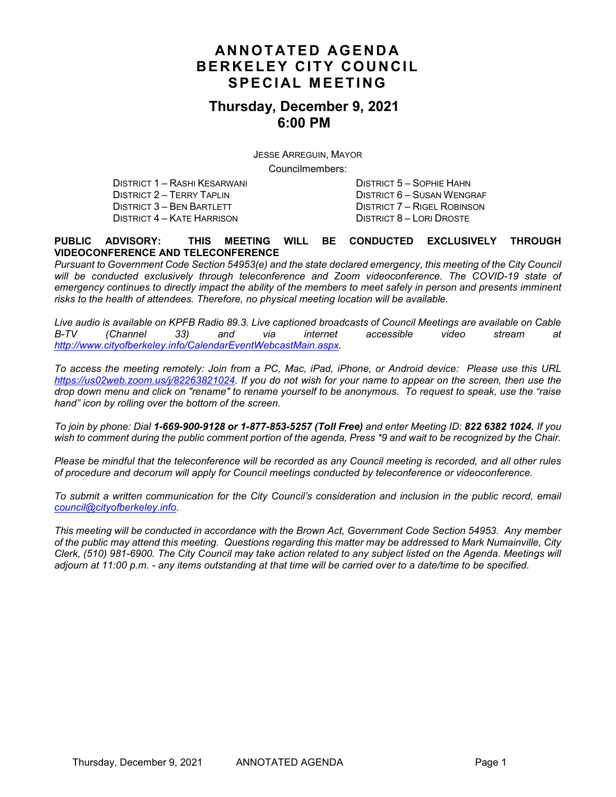# **ANNOTATED AGENDA BERKELEY CITY COUNCIL SPECIAL MEETING**

### **Thursday, December 9, 2021 6:00 PM**

JESSE ARREGUIN, MAYOR

Councilmembers:

DISTRICT 1 – RASHI KESARWANI DISTRICT 5 – SOPHIE HAHN DISTRICT 2 – TERRY TAPLIN DISTRICT 6 – SUSAN WENGRAF DISTRICT 4 – KATE HARRISON DISTRICT 8 – LORI DROSTE

DISTRICT 7 – RIGEL ROBINSON

#### **PUBLIC ADVISORY: THIS MEETING WILL BE CONDUCTED EXCLUSIVELY THROUGH VIDEOCONFERENCE AND TELECONFERENCE**

*Pursuant to Government Code Section 54953(e) and the state declared emergency, this meeting of the City Council* will be conducted exclusively through teleconference and Zoom videoconference. The COVID-19 state of *emergency continues to directly impact the ability of the members to meet safely in person and presents imminent risks to the health of attendees. Therefore, no physical meeting location will be available.* 

*Live audio is available on KPFB Radio 89.3. Live captioned broadcasts of Council Meetings are available on Cable B-TV (Channel 33) and via internet accessible video stream at [http://www.cityofberkeley.info/CalendarEventWebcastMain.aspx.](http://www.cityofberkeley.info/CalendarEventWebcastMain.aspx)*

*To access the meeting remotely: Join from a PC, Mac, iPad, iPhone, or Android device: Please use this URL [https://us02web.zoom.us/j/82263821024.](https://us02web.zoom.us/j/82263821024) If you do not wish for your name to appear on the screen, then use the drop down menu and click on "rename" to rename yourself to be anonymous. To request to speak, use the "raise hand" icon by rolling over the bottom of the screen.* 

*To join by phone: Dial 1-669-900-9128 or 1-877-853-5257 (Toll Free) and enter Meeting ID: 822 6382 1024. If you*  wish to comment during the public comment portion of the agenda, Press \*9 and wait to be recognized by the Chair.

*Please be mindful that the teleconference will be recorded as any Council meeting is recorded, and all other rules of procedure and decorum will apply for Council meetings conducted by teleconference or videoconference.*

*To submit a written communication for the City Council's consideration and inclusion in the public record, email [council@cityofberkeley.info.](mailto:council@cityofberkeley.info)*

*This meeting will be conducted in accordance with the Brown Act, Government Code Section 54953. Any member of the public may attend this meeting. Questions regarding this matter may be addressed to Mark Numainville, City Clerk, (510) 981-6900. The City Council may take action related to any subject listed on the Agenda. Meetings will adjourn at 11:00 p.m. - any items outstanding at that time will be carried over to a date/time to be specified.*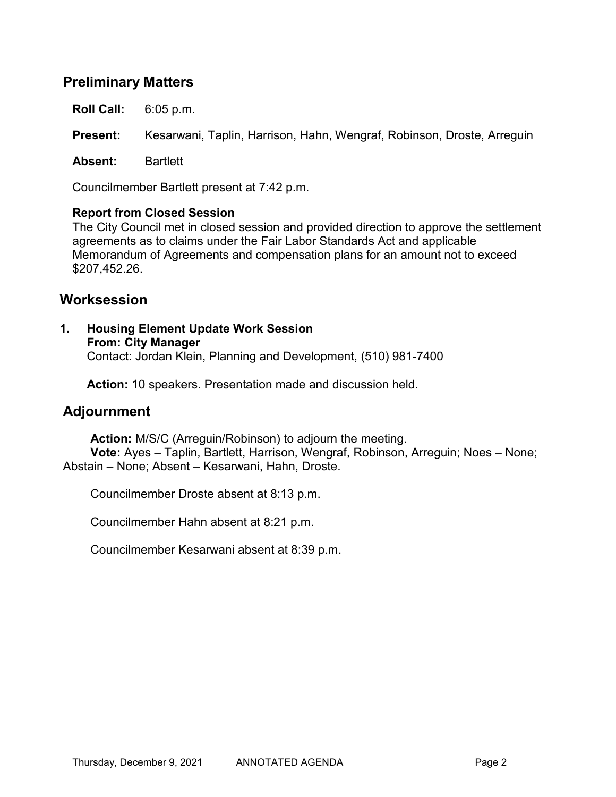# **Preliminary Matters**

**Roll Call:** 6:05 p.m.

**Present:** Kesarwani, Taplin, Harrison, Hahn, Wengraf, Robinson, Droste, Arreguin

**Absent:** Bartlett

Councilmember Bartlett present at 7:42 p.m.

#### **Report from Closed Session**

The City Council met in closed session and provided direction to approve the settlement agreements as to claims under the Fair Labor Standards Act and applicable Memorandum of Agreements and compensation plans for an amount not to exceed \$207,452.26.

### **Worksession**

**1. Housing Element Update Work Session From: City Manager** Contact: Jordan Klein, Planning and Development, (510) 981-7400

**Action:** 10 speakers. Presentation made and discussion held.

## **Adjournment**

**Action:** M/S/C (Arreguin/Robinson) to adjourn the meeting. **Vote:** Ayes – Taplin, Bartlett, Harrison, Wengraf, Robinson, Arreguin; Noes – None; Abstain – None; Absent – Kesarwani, Hahn, Droste.

Councilmember Droste absent at 8:13 p.m.

Councilmember Hahn absent at 8:21 p.m.

Councilmember Kesarwani absent at 8:39 p.m.